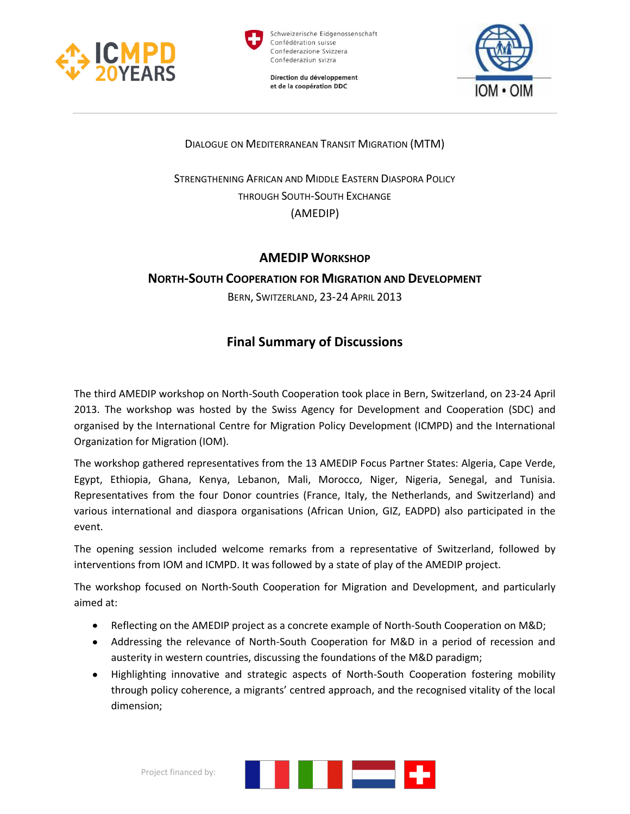



Schweizerische Eidgenossenschaft Confédération suisse Confederazione Svizzera Confederaziun svizra

Direction du développement et de la coopération DDC



DIALOGUE ON MEDITERRANEAN TRANSIT MIGRATION (MTM)

STRENGTHENING AFRICAN AND MIDDLE EASTERN DIASPORA POLICY THROUGH SOUTH-SOUTH EXCHANGE (AMEDIP)

## **AMEDIP WORKSHOP**

## **NORTH-SOUTH COOPERATION FOR MIGRATION AND DEVELOPMENT**

BERN, SWITZERLAND, 23-24 APRIL 2013

# **Final Summary of Discussions**

The third AMEDIP workshop on North-South Cooperation took place in Bern, Switzerland, on 23-24 April 2013. The workshop was hosted by the Swiss Agency for Development and Cooperation (SDC) and organised by the International Centre for Migration Policy Development (ICMPD) and the International Organization for Migration (IOM).

The workshop gathered representatives from the 13 AMEDIP Focus Partner States: Algeria, Cape Verde, Egypt, Ethiopia, Ghana, Kenya, Lebanon, Mali, Morocco, Niger, Nigeria, Senegal, and Tunisia. Representatives from the four Donor countries (France, Italy, the Netherlands, and Switzerland) and various international and diaspora organisations (African Union, GIZ, EADPD) also participated in the event.

The opening session included welcome remarks from a representative of Switzerland, followed by interventions from IOM and ICMPD. It was followed by a state of play of the AMEDIP project.

The workshop focused on North-South Cooperation for Migration and Development, and particularly aimed at:

- Reflecting on the AMEDIP project as a concrete example of North-South Cooperation on M&D;
- Addressing the relevance of North-South Cooperation for M&D in a period of recession and austerity in western countries, discussing the foundations of the M&D paradigm;
- Highlighting innovative and strategic aspects of North-South Cooperation fostering mobility through policy coherence, a migrants' centred approach, and the recognised vitality of the local dimension;

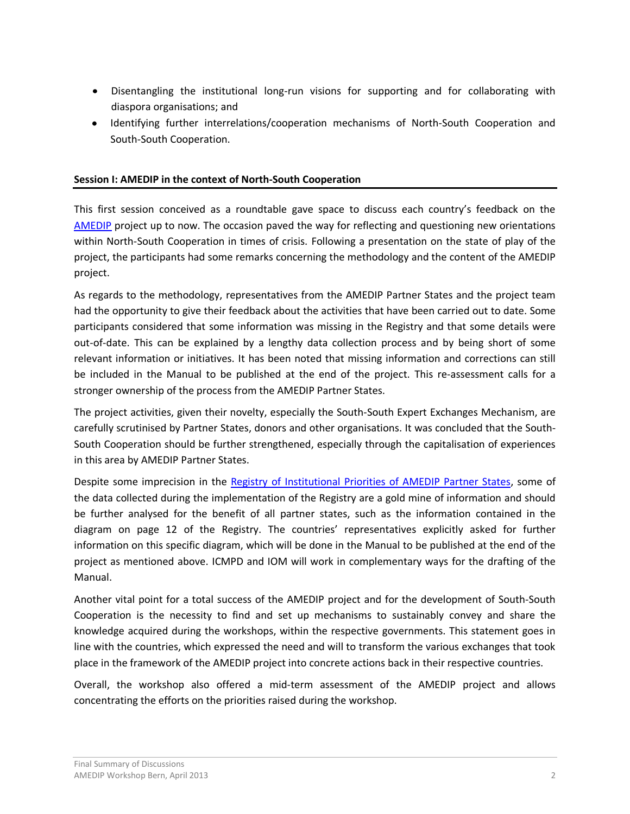- Disentangling the institutional long-run visions for supporting and for collaborating with diaspora organisations; and
- Identifying further interrelations/cooperation mechanisms of North-South Cooperation and South-South Cooperation.

#### **Session I: AMEDIP in the context of North-South Cooperation**

This first session conceived as a roundtable gave space to discuss each country's feedback on the [AMEDIP](http://www.icmpd.org/AMEDIP.1821.0.html) project up to now. The occasion paved the way for reflecting and questioning new orientations within North-South Cooperation in times of crisis. Following a presentation on the state of play of the project, the participants had some remarks concerning the methodology and the content of the AMEDIP project.

As regards to the methodology, representatives from the AMEDIP Partner States and the project team had the opportunity to give their feedback about the activities that have been carried out to date. Some participants considered that some information was missing in the Registry and that some details were out-of-date. This can be explained by a lengthy data collection process and by being short of some relevant information or initiatives. It has been noted that missing information and corrections can still be included in the Manual to be published at the end of the project. This re-assessment calls for a stronger ownership of the process from the AMEDIP Partner States.

The project activities, given their novelty, especially the South-South Expert Exchanges Mechanism, are carefully scrutinised by Partner States, donors and other organisations. It was concluded that the South-South Cooperation should be further strengthened, especially through the capitalisation of experiences in this area by AMEDIP Partner States.

Despite some imprecision in the [Registry of Institutional Priorities of AMEDIP Partner States,](http://www.icmpd.org/fileadmin/ICMPD-Website/ICMPD-Website_2011/Migration_Dialogues/MTM/AMEDIP/February_2013_Update/Registry_of_Institutional_Priorities_Soft_Copy_EN.pdf) some of the data collected during the implementation of the Registry are a gold mine of information and should be further analysed for the benefit of all partner states, such as the information contained in the diagram on page 12 of the Registry. The countries' representatives explicitly asked for further information on this specific diagram, which will be done in the Manual to be published at the end of the project as mentioned above. ICMPD and IOM will work in complementary ways for the drafting of the Manual.

Another vital point for a total success of the AMEDIP project and for the development of South-South Cooperation is the necessity to find and set up mechanisms to sustainably convey and share the knowledge acquired during the workshops, within the respective governments. This statement goes in line with the countries, which expressed the need and will to transform the various exchanges that took place in the framework of the AMEDIP project into concrete actions back in their respective countries.

Overall, the workshop also offered a mid-term assessment of the AMEDIP project and allows concentrating the efforts on the priorities raised during the workshop.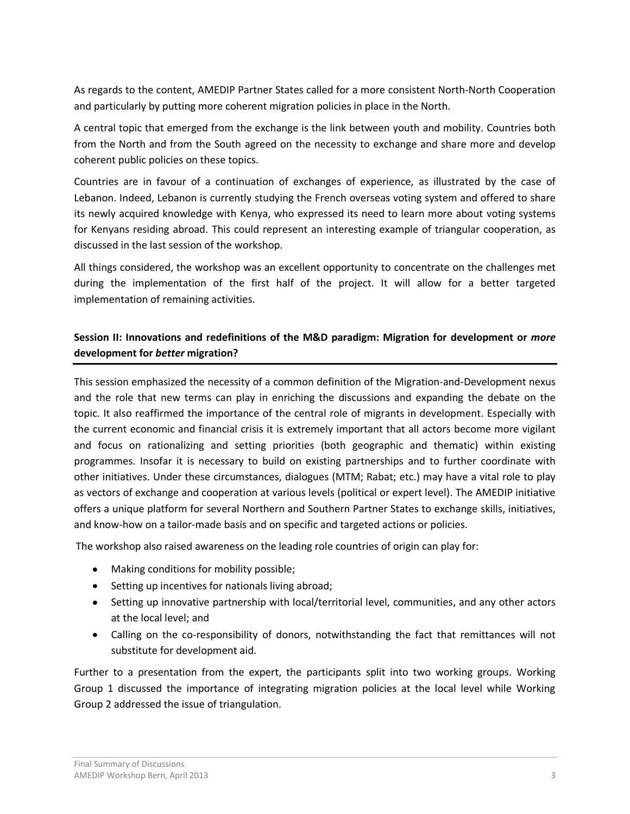As regards to the content, AMEDIP Partner States called for a more consistent North-North Cooperation and particularly by putting more coherent migration policies in place in the North.

A central topic that emerged from the exchange is the link between youth and mobility. Countries both from the North and from the South agreed on the necessity to exchange and share more and develop coherent public policies on these topics.

Countries are in favour of a continuation of exchanges of experience, as illustrated by the case of Lebanon. Indeed, Lebanon is currently studying the French overseas voting system and offered to share its newly acquired knowledge with Kenya, who expressed its need to learn more about voting systems for Kenyans residing abroad. This could represent an interesting example of triangular cooperation, as discussed in the last session of the workshop.

All things considered, the workshop was an excellent opportunity to concentrate on the challenges met during the implementation of the first half of the project. It will allow for a better targeted implementation of remaining activities.

# **Session II: Innovations and redefinitions of the M&D paradigm: Migration for development or** *more*  **development for** *better* **migration?**

This session emphasized the necessity of a common definition of the Migration-and-Development nexus and the role that new terms can play in enriching the discussions and expanding the debate on the topic. It also reaffirmed the importance of the central role of migrants in development. Especially with the current economic and financial crisis it is extremely important that all actors become more vigilant and focus on rationalizing and setting priorities (both geographic and thematic) within existing programmes. Insofar it is necessary to build on existing partnerships and to further coordinate with other initiatives. Under these circumstances, dialogues (MTM; Rabat; etc.) may have a vital role to play as vectors of exchange and cooperation at various levels (political or expert level). The AMEDIP initiative offers a unique platform for several Northern and Southern Partner States to exchange skills, initiatives, and know-how on a tailor-made basis and on specific and targeted actions or policies.

The workshop also raised awareness on the leading role countries of origin can play for:

- Making conditions for mobility possible;
- Setting up incentives for nationals living abroad;
- Setting up innovative partnership with local/territorial level, communities, and any other actors at the local level; and
- Calling on the co-responsibility of donors, notwithstanding the fact that remittances will not substitute for development aid.

Further to a presentation from the expert, the participants split into two working groups. Working Group 1 discussed the importance of integrating migration policies at the local level while Working Group 2 addressed the issue of triangulation.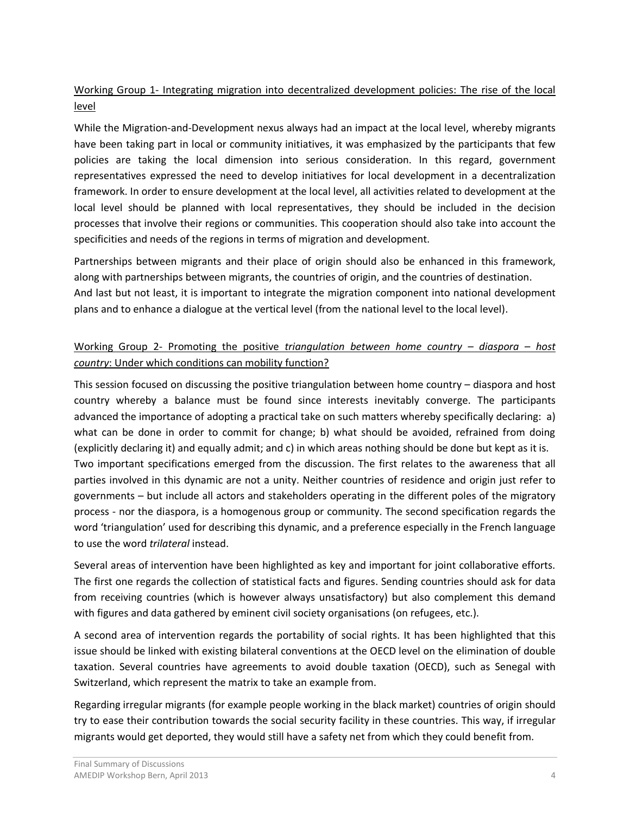# Working Group 1- Integrating migration into decentralized development policies: The rise of the local level

While the Migration-and-Development nexus always had an impact at the local level, whereby migrants have been taking part in local or community initiatives, it was emphasized by the participants that few policies are taking the local dimension into serious consideration. In this regard, government representatives expressed the need to develop initiatives for local development in a decentralization framework. In order to ensure development at the local level, all activities related to development at the local level should be planned with local representatives, they should be included in the decision processes that involve their regions or communities. This cooperation should also take into account the specificities and needs of the regions in terms of migration and development.

Partnerships between migrants and their place of origin should also be enhanced in this framework, along with partnerships between migrants, the countries of origin, and the countries of destination. And last but not least, it is important to integrate the migration component into national development plans and to enhance a dialogue at the vertical level (from the national level to the local level).

# Working Group 2- Promoting the positive *triangulation between home country – diaspora – host country*: Under which conditions can mobility function?

This session focused on discussing the positive triangulation between home country – diaspora and host country whereby a balance must be found since interests inevitably converge. The participants advanced the importance of adopting a practical take on such matters whereby specifically declaring: a) what can be done in order to commit for change; b) what should be avoided, refrained from doing (explicitly declaring it) and equally admit; and c) in which areas nothing should be done but kept as it is. Two important specifications emerged from the discussion. The first relates to the awareness that all parties involved in this dynamic are not a unity. Neither countries of residence and origin just refer to governments – but include all actors and stakeholders operating in the different poles of the migratory process - nor the diaspora, is a homogenous group or community. The second specification regards the word 'triangulation' used for describing this dynamic, and a preference especially in the French language to use the word *trilateral* instead.

Several areas of intervention have been highlighted as key and important for joint collaborative efforts. The first one regards the collection of statistical facts and figures. Sending countries should ask for data from receiving countries (which is however always unsatisfactory) but also complement this demand with figures and data gathered by eminent civil society organisations (on refugees, etc.).

A second area of intervention regards the portability of social rights. It has been highlighted that this issue should be linked with existing bilateral conventions at the OECD level on the elimination of double taxation. Several countries have agreements to avoid double taxation (OECD), such as Senegal with Switzerland, which represent the matrix to take an example from.

Regarding irregular migrants (for example people working in the black market) countries of origin should try to ease their contribution towards the social security facility in these countries. This way, if irregular migrants would get deported, they would still have a safety net from which they could benefit from.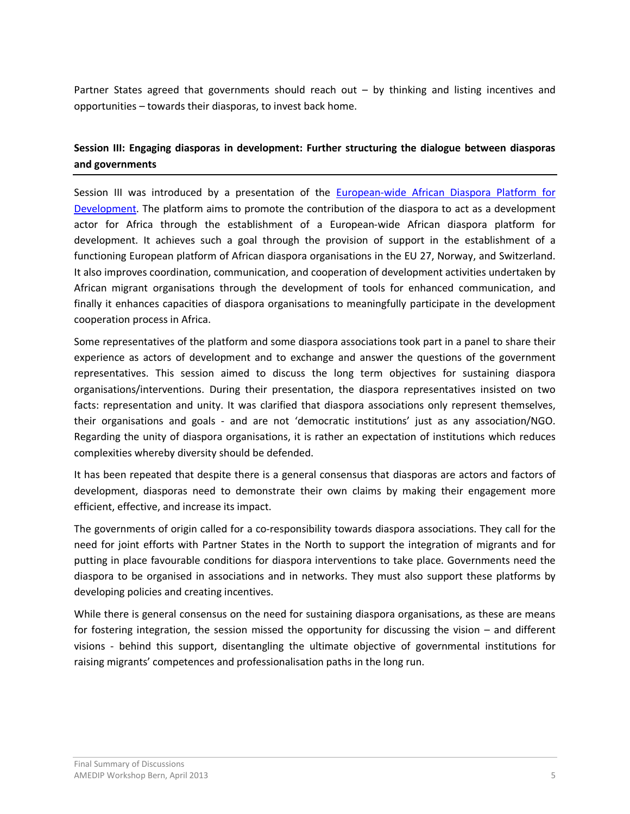Partner States agreed that governments should reach out – by thinking and listing incentives and opportunities – towards their diasporas, to invest back home.

## **Session III: Engaging diasporas in development: Further structuring the dialogue between diasporas and governments**

Session III was introduced by a presentation of the [European-wide African Diaspora Platform for](http://www.ae-platform.org/modules/home/home.php)  [Development.](http://www.ae-platform.org/modules/home/home.php) The platform aims to promote the contribution of the diaspora to act as a development actor for Africa through the establishment of a European-wide African diaspora platform for development. It achieves such a goal through the provision of support in the establishment of a functioning European platform of African diaspora organisations in the EU 27, Norway, and Switzerland. It also improves coordination, communication, and cooperation of development activities undertaken by African migrant organisations through the development of tools for enhanced communication, and finally it enhances capacities of diaspora organisations to meaningfully participate in the development cooperation process in Africa.

Some representatives of the platform and some diaspora associations took part in a panel to share their experience as actors of development and to exchange and answer the questions of the government representatives. This session aimed to discuss the long term objectives for sustaining diaspora organisations/interventions. During their presentation, the diaspora representatives insisted on two facts: representation and unity. It was clarified that diaspora associations only represent themselves, their organisations and goals - and are not 'democratic institutions' just as any association/NGO. Regarding the unity of diaspora organisations, it is rather an expectation of institutions which reduces complexities whereby diversity should be defended.

It has been repeated that despite there is a general consensus that diasporas are actors and factors of development, diasporas need to demonstrate their own claims by making their engagement more efficient, effective, and increase its impact.

The governments of origin called for a co-responsibility towards diaspora associations. They call for the need for joint efforts with Partner States in the North to support the integration of migrants and for putting in place favourable conditions for diaspora interventions to take place. Governments need the diaspora to be organised in associations and in networks. They must also support these platforms by developing policies and creating incentives.

While there is general consensus on the need for sustaining diaspora organisations, as these are means for fostering integration, the session missed the opportunity for discussing the vision – and different visions - behind this support, disentangling the ultimate objective of governmental institutions for raising migrants' competences and professionalisation paths in the long run.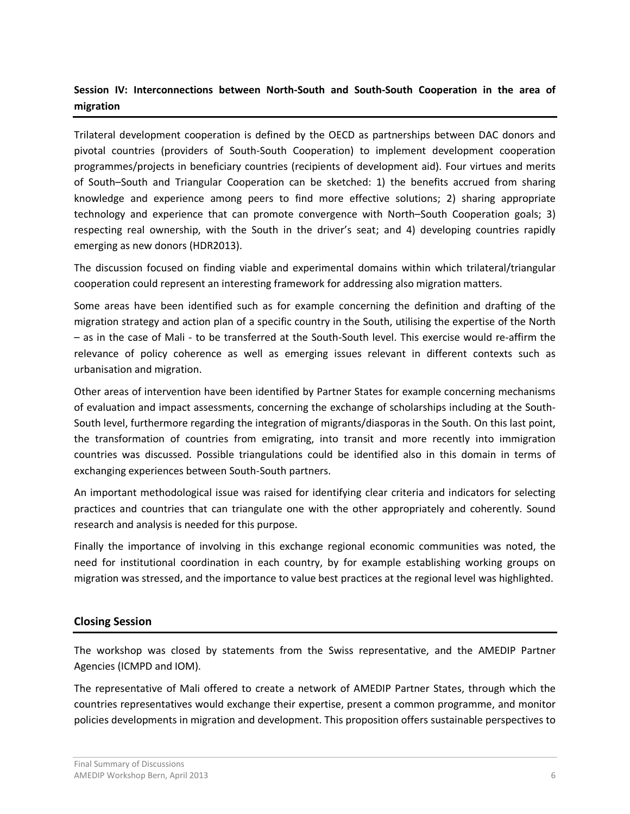## **Session IV: Interconnections between North-South and South-South Cooperation in the area of migration**

Trilateral development cooperation is defined by the OECD as partnerships between DAC donors and pivotal countries (providers of South‐South Cooperation) to implement development cooperation programmes/projects in beneficiary countries (recipients of development aid). Four virtues and merits of South–South and Triangular Cooperation can be sketched: 1) the benefits accrued from sharing knowledge and experience among peers to find more effective solutions; 2) sharing appropriate technology and experience that can promote convergence with North–South Cooperation goals; 3) respecting real ownership, with the South in the driver's seat; and 4) developing countries rapidly emerging as new donors (HDR2013).

The discussion focused on finding viable and experimental domains within which trilateral/triangular cooperation could represent an interesting framework for addressing also migration matters.

Some areas have been identified such as for example concerning the definition and drafting of the migration strategy and action plan of a specific country in the South, utilising the expertise of the North – as in the case of Mali - to be transferred at the South-South level. This exercise would re-affirm the relevance of policy coherence as well as emerging issues relevant in different contexts such as urbanisation and migration.

Other areas of intervention have been identified by Partner States for example concerning mechanisms of evaluation and impact assessments, concerning the exchange of scholarships including at the South-South level, furthermore regarding the integration of migrants/diasporas in the South. On this last point, the transformation of countries from emigrating, into transit and more recently into immigration countries was discussed. Possible triangulations could be identified also in this domain in terms of exchanging experiences between South-South partners.

An important methodological issue was raised for identifying clear criteria and indicators for selecting practices and countries that can triangulate one with the other appropriately and coherently. Sound research and analysis is needed for this purpose.

Finally the importance of involving in this exchange regional economic communities was noted, the need for institutional coordination in each country, by for example establishing working groups on migration was stressed, and the importance to value best practices at the regional level was highlighted.

#### **Closing Session**

The workshop was closed by statements from the Swiss representative, and the AMEDIP Partner Agencies (ICMPD and IOM).

The representative of Mali offered to create a network of AMEDIP Partner States, through which the countries representatives would exchange their expertise, present a common programme, and monitor policies developments in migration and development. This proposition offers sustainable perspectives to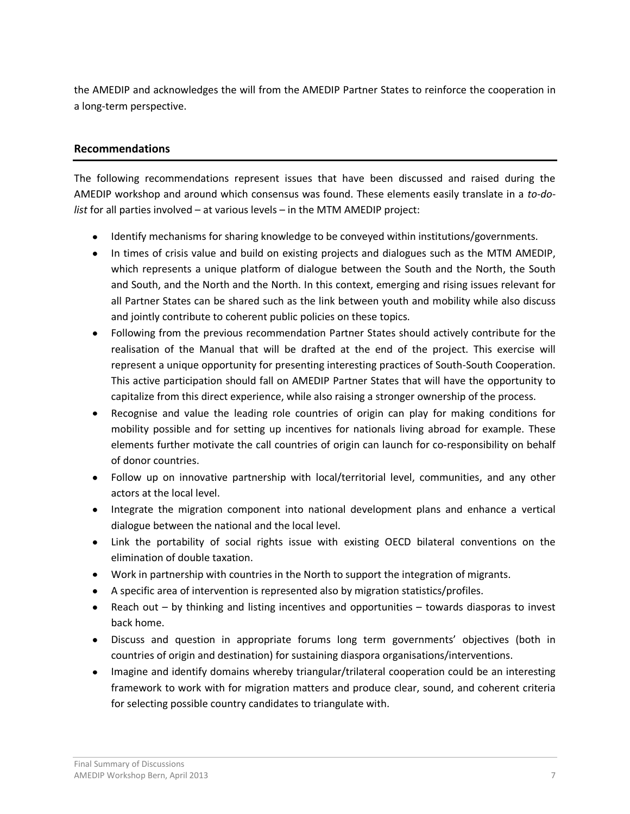the AMEDIP and acknowledges the will from the AMEDIP Partner States to reinforce the cooperation in a long-term perspective.

#### **Recommendations**

The following recommendations represent issues that have been discussed and raised during the AMEDIP workshop and around which consensus was found. These elements easily translate in a *to-dolist* for all parties involved – at various levels – in the MTM AMEDIP project:

- Identify mechanisms for sharing knowledge to be conveyed within institutions/governments.
- In times of crisis value and build on existing projects and dialogues such as the MTM AMEDIP, which represents a unique platform of dialogue between the South and the North, the South and South, and the North and the North. In this context, emerging and rising issues relevant for all Partner States can be shared such as the link between youth and mobility while also discuss and jointly contribute to coherent public policies on these topics.
- Following from the previous recommendation Partner States should actively contribute for the realisation of the Manual that will be drafted at the end of the project. This exercise will represent a unique opportunity for presenting interesting practices of South-South Cooperation. This active participation should fall on AMEDIP Partner States that will have the opportunity to capitalize from this direct experience, while also raising a stronger ownership of the process.
- Recognise and value the leading role countries of origin can play for making conditions for mobility possible and for setting up incentives for nationals living abroad for example. These elements further motivate the call countries of origin can launch for co-responsibility on behalf of donor countries.
- Follow up on innovative partnership with local/territorial level, communities, and any other actors at the local level.
- Integrate the migration component into national development plans and enhance a vertical dialogue between the national and the local level.
- Link the portability of social rights issue with existing OECD bilateral conventions on the elimination of double taxation.
- Work in partnership with countries in the North to support the integration of migrants.
- A specific area of intervention is represented also by migration statistics/profiles.
- Reach out by thinking and listing incentives and opportunities towards diasporas to invest back home.
- Discuss and question in appropriate forums long term governments' objectives (both in countries of origin and destination) for sustaining diaspora organisations/interventions.
- Imagine and identify domains whereby triangular/trilateral cooperation could be an interesting framework to work with for migration matters and produce clear, sound, and coherent criteria for selecting possible country candidates to triangulate with.